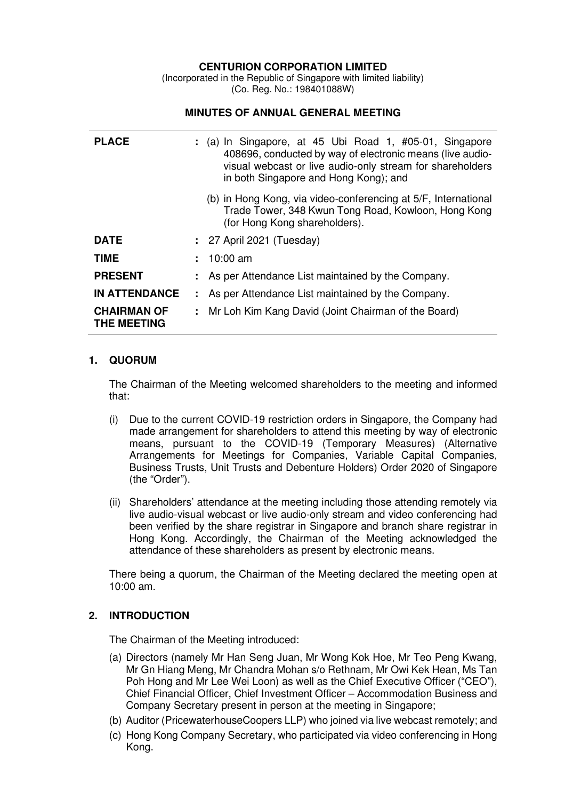# **CENTURION CORPORATION LIMITED**

(Incorporated in the Republic of Singapore with limited liability) (Co. Reg. No.: 198401088W)

#### **MINUTES OF ANNUAL GENERAL MEETING**

| <b>PLACE</b>                             | $:$ (a) In Singapore, at 45 Ubi Road 1, #05-01, Singapore<br>408696, conducted by way of electronic means (live audio-<br>visual webcast or live audio-only stream for shareholders<br>in both Singapore and Hong Kong); and |
|------------------------------------------|------------------------------------------------------------------------------------------------------------------------------------------------------------------------------------------------------------------------------|
|                                          | (b) in Hong Kong, via video-conferencing at 5/F, International<br>Trade Tower, 348 Kwun Tong Road, Kowloon, Hong Kong<br>(for Hong Kong shareholders).                                                                       |
| <b>DATE</b>                              | : 27 April 2021 (Tuesday)                                                                                                                                                                                                    |
| <b>TIME</b>                              | $\div$ 10:00 am                                                                                                                                                                                                              |
| <b>PRESENT</b>                           | : As per Attendance List maintained by the Company.                                                                                                                                                                          |
| <b>IN ATTENDANCE</b>                     | : As per Attendance List maintained by the Company.                                                                                                                                                                          |
| <b>CHAIRMAN OF</b><br><b>THE MEETING</b> | : Mr Loh Kim Kang David (Joint Chairman of the Board)                                                                                                                                                                        |

#### **1. QUORUM**

The Chairman of the Meeting welcomed shareholders to the meeting and informed that:

- (i) Due to the current COVID-19 restriction orders in Singapore, the Company had made arrangement for shareholders to attend this meeting by way of electronic means, pursuant to the COVID-19 (Temporary Measures) (Alternative Arrangements for Meetings for Companies, Variable Capital Companies, Business Trusts, Unit Trusts and Debenture Holders) Order 2020 of Singapore (the "Order").
- (ii) Shareholders' attendance at the meeting including those attending remotely via live audio-visual webcast or live audio-only stream and video conferencing had been verified by the share registrar in Singapore and branch share registrar in Hong Kong. Accordingly, the Chairman of the Meeting acknowledged the attendance of these shareholders as present by electronic means.

There being a quorum, the Chairman of the Meeting declared the meeting open at 10:00 am.

### **2. INTRODUCTION**

The Chairman of the Meeting introduced:

- (a) Directors (namely Mr Han Seng Juan, Mr Wong Kok Hoe, Mr Teo Peng Kwang, Mr Gn Hiang Meng, Mr Chandra Mohan s/o Rethnam, Mr Owi Kek Hean, Ms Tan Poh Hong and Mr Lee Wei Loon) as well as the Chief Executive Officer ("CEO"), Chief Financial Officer, Chief Investment Officer – Accommodation Business and Company Secretary present in person at the meeting in Singapore;
- (b) Auditor (PricewaterhouseCoopers LLP) who joined via live webcast remotely; and
- (c) Hong Kong Company Secretary, who participated via video conferencing in Hong Kong.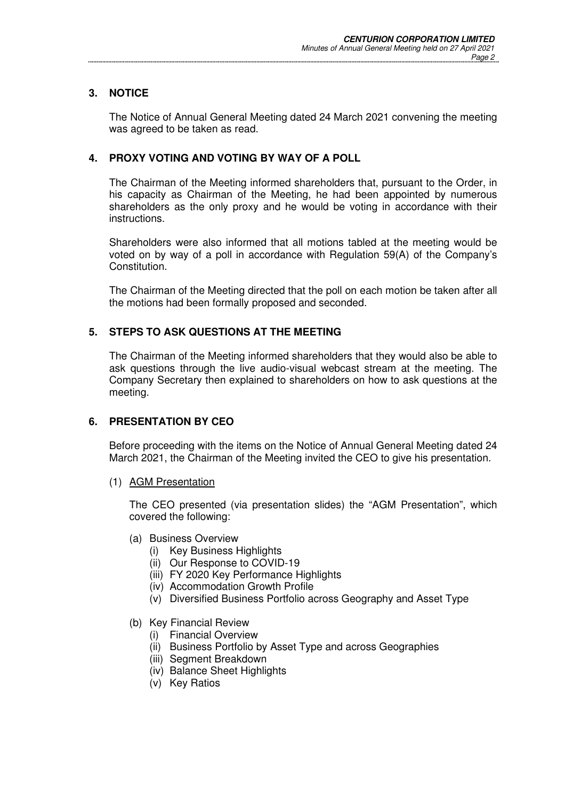### **3. NOTICE**

The Notice of Annual General Meeting dated 24 March 2021 convening the meeting was agreed to be taken as read.

### **4. PROXY VOTING AND VOTING BY WAY OF A POLL**

The Chairman of the Meeting informed shareholders that, pursuant to the Order, in his capacity as Chairman of the Meeting, he had been appointed by numerous shareholders as the only proxy and he would be voting in accordance with their instructions.

Shareholders were also informed that all motions tabled at the meeting would be voted on by way of a poll in accordance with Regulation 59(A) of the Company's Constitution.

The Chairman of the Meeting directed that the poll on each motion be taken after all the motions had been formally proposed and seconded.

### **5. STEPS TO ASK QUESTIONS AT THE MEETING**

The Chairman of the Meeting informed shareholders that they would also be able to ask questions through the live audio-visual webcast stream at the meeting. The Company Secretary then explained to shareholders on how to ask questions at the meeting.

### **6. PRESENTATION BY CEO**

Before proceeding with the items on the Notice of Annual General Meeting dated 24 March 2021, the Chairman of the Meeting invited the CEO to give his presentation.

(1) AGM Presentation

The CEO presented (via presentation slides) the "AGM Presentation", which covered the following:

- (a) Business Overview
	- (i) Key Business Highlights
	- (ii) Our Response to COVID-19
	- (iii) FY 2020 Key Performance Highlights
	- (iv) Accommodation Growth Profile
	- (v) Diversified Business Portfolio across Geography and Asset Type
- (b) Key Financial Review
	- (i) Financial Overview
	- (ii) Business Portfolio by Asset Type and across Geographies
	- (iii) Segment Breakdown
	- (iv) Balance Sheet Highlights
	- (v) Key Ratios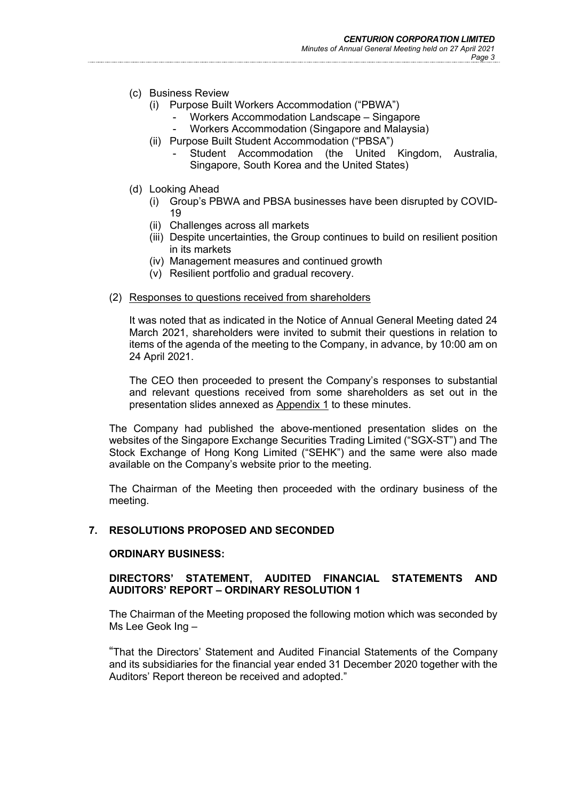#### *Minutes of Annual General Meeting held on 27 April 2021 Page 3*

- (c) Business Review
	- (i) Purpose Built Workers Accommodation ("PBWA")
		- Workers Accommodation Landscape Singapore
		- Workers Accommodation (Singapore and Malaysia)
	- (ii) Purpose Built Student Accommodation ("PBSA")
		- Student Accommodation (the United Kingdom, Australia, Singapore, South Korea and the United States)
- (d) Looking Ahead
	- (i) Group's PBWA and PBSA businesses have been disrupted by COVID-19
	- (ii) Challenges across all markets
	- (iii) Despite uncertainties, the Group continues to build on resilient position in its markets
	- (iv) Management measures and continued growth
	- (v) Resilient portfolio and gradual recovery.
- (2) Responses to questions received from shareholders

It was noted that as indicated in the Notice of Annual General Meeting dated 24 March 2021, shareholders were invited to submit their questions in relation to items of the agenda of the meeting to the Company, in advance, by 10:00 am on 24 April 2021.

The CEO then proceeded to present the Company's responses to substantial and relevant questions received from some shareholders as set out in the presentation slides annexed as Appendix 1 to these minutes.

The Company had published the above-mentioned presentation slides on the websites of the Singapore Exchange Securities Trading Limited ("SGX-ST") and The Stock Exchange of Hong Kong Limited ("SEHK") and the same were also made available on the Company's website prior to the meeting.

The Chairman of the Meeting then proceeded with the ordinary business of the meeting.

### **7. RESOLUTIONS PROPOSED AND SECONDED**

#### **ORDINARY BUSINESS:**

### **DIRECTORS' STATEMENT, AUDITED FINANCIAL STATEMENTS AND AUDITORS' REPORT – ORDINARY RESOLUTION 1**

The Chairman of the Meeting proposed the following motion which was seconded by Ms Lee Geok Ing –

"That the Directors' Statement and Audited Financial Statements of the Company and its subsidiaries for the financial year ended 31 December 2020 together with the Auditors' Report thereon be received and adopted."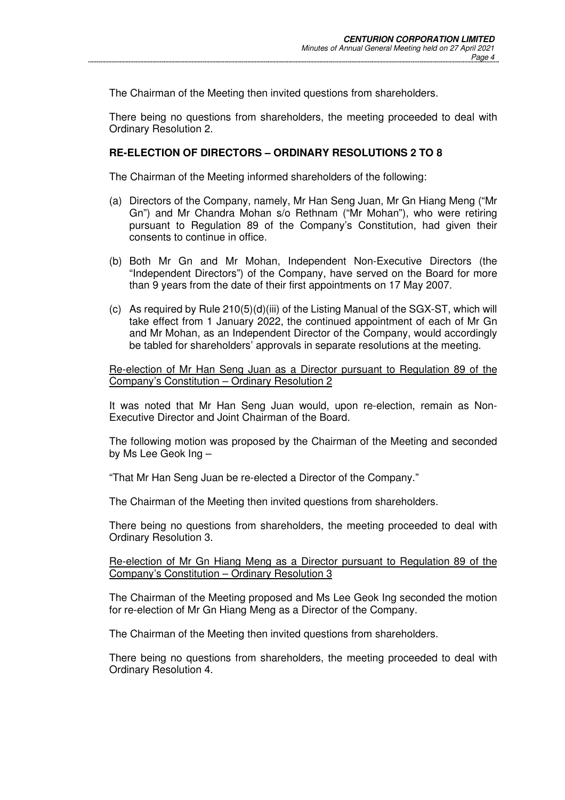The Chairman of the Meeting then invited questions from shareholders.

There being no questions from shareholders, the meeting proceeded to deal with Ordinary Resolution 2.

### **RE-ELECTION OF DIRECTORS – ORDINARY RESOLUTIONS 2 TO 8**

The Chairman of the Meeting informed shareholders of the following:

- (a) Directors of the Company, namely, Mr Han Seng Juan, Mr Gn Hiang Meng ("Mr Gn") and Mr Chandra Mohan s/o Rethnam ("Mr Mohan"), who were retiring pursuant to Regulation 89 of the Company's Constitution, had given their consents to continue in office.
- (b) Both Mr Gn and Mr Mohan, Independent Non-Executive Directors (the "Independent Directors") of the Company, have served on the Board for more than 9 years from the date of their first appointments on 17 May 2007.
- (c) As required by Rule  $210(5)(d)(iii)$  of the Listing Manual of the SGX-ST, which will take effect from 1 January 2022, the continued appointment of each of Mr Gn and Mr Mohan, as an Independent Director of the Company, would accordingly be tabled for shareholders' approvals in separate resolutions at the meeting.

Re-election of Mr Han Seng Juan as a Director pursuant to Regulation 89 of the Company's Constitution – Ordinary Resolution 2

It was noted that Mr Han Seng Juan would, upon re-election, remain as Non-Executive Director and Joint Chairman of the Board.

The following motion was proposed by the Chairman of the Meeting and seconded by Ms Lee Geok Ing –

"That Mr Han Seng Juan be re-elected a Director of the Company."

The Chairman of the Meeting then invited questions from shareholders.

There being no questions from shareholders, the meeting proceeded to deal with Ordinary Resolution 3.

#### Re-election of Mr Gn Hiang Meng as a Director pursuant to Regulation 89 of the Company's Constitution – Ordinary Resolution 3

The Chairman of the Meeting proposed and Ms Lee Geok Ing seconded the motion for re-election of Mr Gn Hiang Meng as a Director of the Company.

The Chairman of the Meeting then invited questions from shareholders.

There being no questions from shareholders, the meeting proceeded to deal with Ordinary Resolution 4.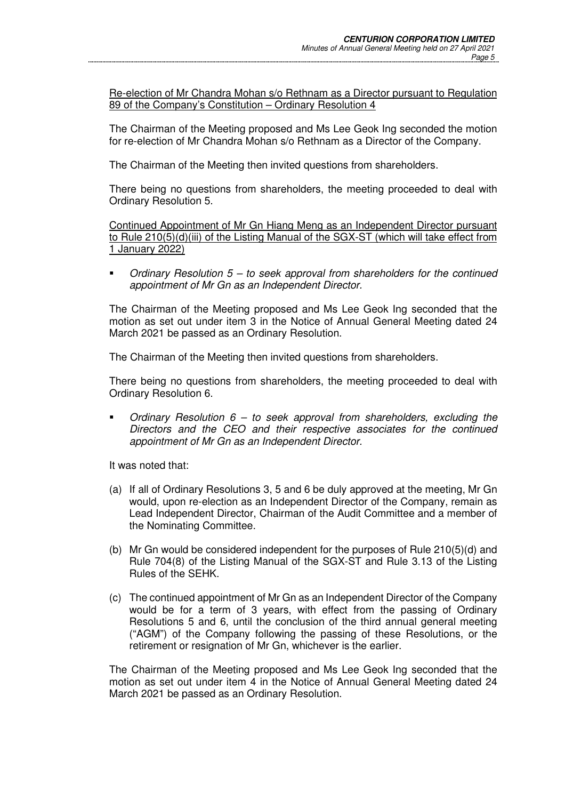Re-election of Mr Chandra Mohan s/o Rethnam as a Director pursuant to Regulation 89 of the Company's Constitution – Ordinary Resolution 4

The Chairman of the Meeting proposed and Ms Lee Geok Ing seconded the motion for re-election of Mr Chandra Mohan s/o Rethnam as a Director of the Company.

The Chairman of the Meeting then invited questions from shareholders.

There being no questions from shareholders, the meeting proceeded to deal with Ordinary Resolution 5.

Continued Appointment of Mr Gn Hiang Meng as an Independent Director pursuant to Rule 210(5)(d)(iii) of the Listing Manual of the SGX-ST (which will take effect from 1 January 2022)

 Ordinary Resolution 5 – to seek approval from shareholders for the continued appointment of Mr Gn as an Independent Director.

The Chairman of the Meeting proposed and Ms Lee Geok Ing seconded that the motion as set out under item 3 in the Notice of Annual General Meeting dated 24 March 2021 be passed as an Ordinary Resolution.

The Chairman of the Meeting then invited questions from shareholders.

There being no questions from shareholders, the meeting proceeded to deal with Ordinary Resolution 6.

 Ordinary Resolution 6 – to seek approval from shareholders, excluding the Directors and the CEO and their respective associates for the continued appointment of Mr Gn as an Independent Director.

It was noted that:

- (a) If all of Ordinary Resolutions 3, 5 and 6 be duly approved at the meeting, Mr Gn would, upon re-election as an Independent Director of the Company, remain as Lead Independent Director, Chairman of the Audit Committee and a member of the Nominating Committee.
- (b) Mr Gn would be considered independent for the purposes of Rule 210(5)(d) and Rule 704(8) of the Listing Manual of the SGX-ST and Rule 3.13 of the Listing Rules of the SEHK.
- (c) The continued appointment of Mr Gn as an Independent Director of the Company would be for a term of 3 years, with effect from the passing of Ordinary Resolutions 5 and 6, until the conclusion of the third annual general meeting ("AGM") of the Company following the passing of these Resolutions, or the retirement or resignation of Mr Gn, whichever is the earlier.

The Chairman of the Meeting proposed and Ms Lee Geok Ing seconded that the motion as set out under item 4 in the Notice of Annual General Meeting dated 24 March 2021 be passed as an Ordinary Resolution.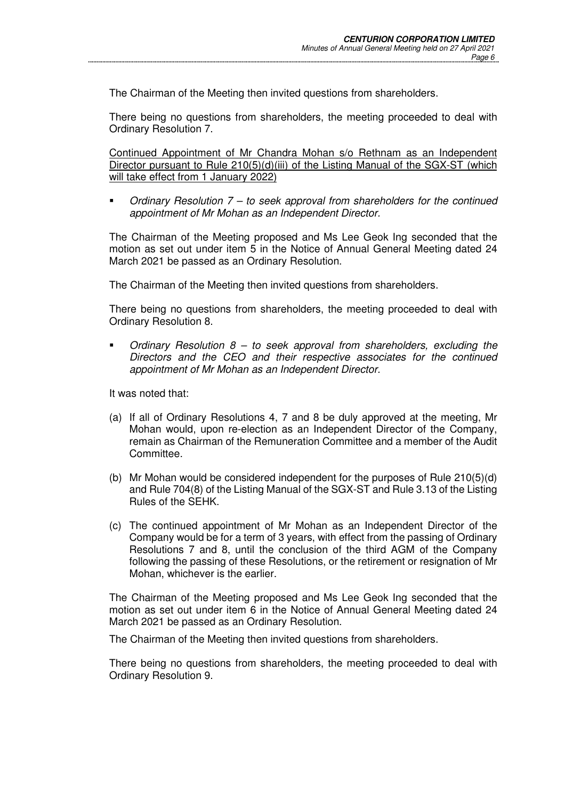The Chairman of the Meeting then invited questions from shareholders.

There being no questions from shareholders, the meeting proceeded to deal with Ordinary Resolution 7.

Continued Appointment of Mr Chandra Mohan s/o Rethnam as an Independent Director pursuant to Rule 210(5)(d)(iii) of the Listing Manual of the SGX-ST (which will take effect from 1 January 2022)

 Ordinary Resolution 7 – to seek approval from shareholders for the continued appointment of Mr Mohan as an Independent Director.

The Chairman of the Meeting proposed and Ms Lee Geok Ing seconded that the motion as set out under item 5 in the Notice of Annual General Meeting dated 24 March 2021 be passed as an Ordinary Resolution.

The Chairman of the Meeting then invited questions from shareholders.

There being no questions from shareholders, the meeting proceeded to deal with Ordinary Resolution 8.

Ordinary Resolution  $8 -$  to seek approval from shareholders, excluding the Directors and the CEO and their respective associates for the continued appointment of Mr Mohan as an Independent Director.

It was noted that:

- (a) If all of Ordinary Resolutions 4, 7 and 8 be duly approved at the meeting, Mr Mohan would, upon re-election as an Independent Director of the Company, remain as Chairman of the Remuneration Committee and a member of the Audit Committee.
- (b) Mr Mohan would be considered independent for the purposes of Rule 210(5)(d) and Rule 704(8) of the Listing Manual of the SGX-ST and Rule 3.13 of the Listing Rules of the SEHK.
- (c) The continued appointment of Mr Mohan as an Independent Director of the Company would be for a term of 3 years, with effect from the passing of Ordinary Resolutions 7 and 8, until the conclusion of the third AGM of the Company following the passing of these Resolutions, or the retirement or resignation of Mr Mohan, whichever is the earlier.

The Chairman of the Meeting proposed and Ms Lee Geok Ing seconded that the motion as set out under item 6 in the Notice of Annual General Meeting dated 24 March 2021 be passed as an Ordinary Resolution.

The Chairman of the Meeting then invited questions from shareholders.

There being no questions from shareholders, the meeting proceeded to deal with Ordinary Resolution 9.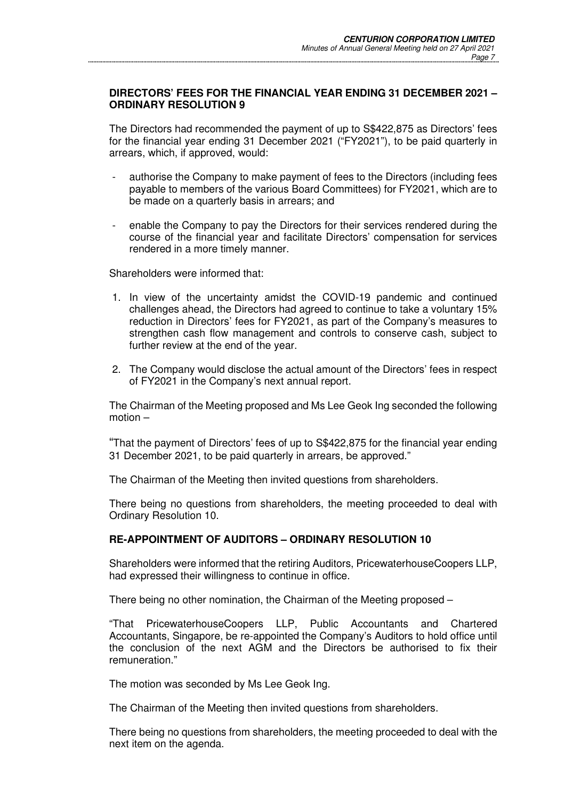### **DIRECTORS' FEES FOR THE FINANCIAL YEAR ENDING 31 DECEMBER 2021 – ORDINARY RESOLUTION 9**

The Directors had recommended the payment of up to S\$422,875 as Directors' fees for the financial year ending 31 December 2021 ("FY2021"), to be paid quarterly in arrears, which, if approved, would:

- authorise the Company to make payment of fees to the Directors (including fees payable to members of the various Board Committees) for FY2021, which are to be made on a quarterly basis in arrears; and
- enable the Company to pay the Directors for their services rendered during the course of the financial year and facilitate Directors' compensation for services rendered in a more timely manner.

Shareholders were informed that:

- 1. In view of the uncertainty amidst the COVID-19 pandemic and continued challenges ahead, the Directors had agreed to continue to take a voluntary 15% reduction in Directors' fees for FY2021, as part of the Company's measures to strengthen cash flow management and controls to conserve cash, subject to further review at the end of the year.
- 2. The Company would disclose the actual amount of the Directors' fees in respect of FY2021 in the Company's next annual report.

The Chairman of the Meeting proposed and Ms Lee Geok Ing seconded the following motion –

"That the payment of Directors' fees of up to S\$422,875 for the financial year ending 31 December 2021, to be paid quarterly in arrears, be approved."

The Chairman of the Meeting then invited questions from shareholders.

There being no questions from shareholders, the meeting proceeded to deal with Ordinary Resolution 10.

# **RE-APPOINTMENT OF AUDITORS – ORDINARY RESOLUTION 10**

Shareholders were informed that the retiring Auditors, PricewaterhouseCoopers LLP, had expressed their willingness to continue in office.

There being no other nomination, the Chairman of the Meeting proposed –

"That PricewaterhouseCoopers LLP, Public Accountants and Chartered Accountants, Singapore, be re-appointed the Company's Auditors to hold office until the conclusion of the next AGM and the Directors be authorised to fix their remuneration."

The motion was seconded by Ms Lee Geok Ing.

The Chairman of the Meeting then invited questions from shareholders.

There being no questions from shareholders, the meeting proceeded to deal with the next item on the agenda.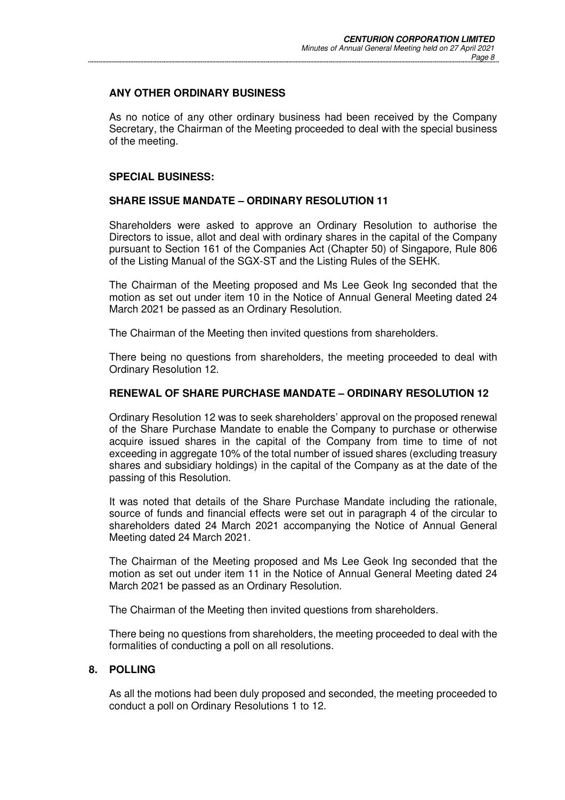### **ANY OTHER ORDINARY BUSINESS**

As no notice of any other ordinary business had been received by the Company Secretary, the Chairman of the Meeting proceeded to deal with the special business of the meeting.

### **SPECIAL BUSINESS:**

#### **SHARE ISSUE MANDATE – ORDINARY RESOLUTION 11**

Shareholders were asked to approve an Ordinary Resolution to authorise the Directors to issue, allot and deal with ordinary shares in the capital of the Company pursuant to Section 161 of the Companies Act (Chapter 50) of Singapore, Rule 806 of the Listing Manual of the SGX-ST and the Listing Rules of the SEHK.

The Chairman of the Meeting proposed and Ms Lee Geok Ing seconded that the motion as set out under item 10 in the Notice of Annual General Meeting dated 24 March 2021 be passed as an Ordinary Resolution.

The Chairman of the Meeting then invited questions from shareholders.

There being no questions from shareholders, the meeting proceeded to deal with Ordinary Resolution 12.

#### **RENEWAL OF SHARE PURCHASE MANDATE – ORDINARY RESOLUTION 12**

Ordinary Resolution 12 was to seek shareholders' approval on the proposed renewal of the Share Purchase Mandate to enable the Company to purchase or otherwise acquire issued shares in the capital of the Company from time to time of not exceeding in aggregate 10% of the total number of issued shares (excluding treasury shares and subsidiary holdings) in the capital of the Company as at the date of the passing of this Resolution.

It was noted that details of the Share Purchase Mandate including the rationale, source of funds and financial effects were set out in paragraph 4 of the circular to shareholders dated 24 March 2021 accompanying the Notice of Annual General Meeting dated 24 March 2021.

The Chairman of the Meeting proposed and Ms Lee Geok Ing seconded that the motion as set out under item 11 in the Notice of Annual General Meeting dated 24 March 2021 be passed as an Ordinary Resolution.

The Chairman of the Meeting then invited questions from shareholders.

There being no questions from shareholders, the meeting proceeded to deal with the formalities of conducting a poll on all resolutions.

### **8. POLLING**

As all the motions had been duly proposed and seconded, the meeting proceeded to conduct a poll on Ordinary Resolutions 1 to 12.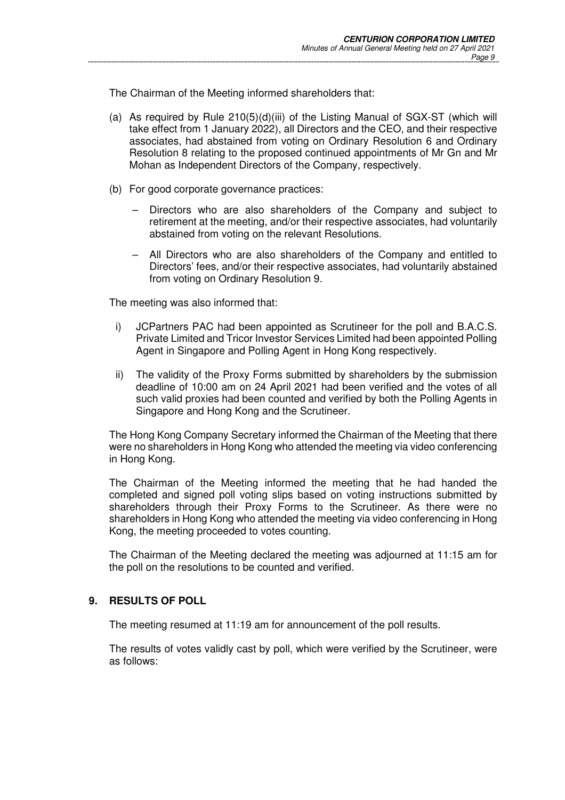The Chairman of the Meeting informed shareholders that:

- (a) As required by Rule  $210(5)(d)(iii)$  of the Listing Manual of SGX-ST (which will take effect from 1 January 2022), all Directors and the CEO, and their respective associates, had abstained from voting on Ordinary Resolution 6 and Ordinary Resolution 8 relating to the proposed continued appointments of Mr Gn and Mr Mohan as Independent Directors of the Company, respectively.
- (b) For good corporate governance practices:
	- Directors who are also shareholders of the Company and subject to retirement at the meeting, and/or their respective associates, had voluntarily abstained from voting on the relevant Resolutions.
	- All Directors who are also shareholders of the Company and entitled to Directors' fees, and/or their respective associates, had voluntarily abstained from voting on Ordinary Resolution 9.

The meeting was also informed that:

- i) JCPartners PAC had been appointed as Scrutineer for the poll and B.A.C.S. Private Limited and Tricor Investor Services Limited had been appointed Polling Agent in Singapore and Polling Agent in Hong Kong respectively.
- ii) The validity of the Proxy Forms submitted by shareholders by the submission deadline of 10:00 am on 24 April 2021 had been verified and the votes of all such valid proxies had been counted and verified by both the Polling Agents in Singapore and Hong Kong and the Scrutineer.

The Hong Kong Company Secretary informed the Chairman of the Meeting that there were no shareholders in Hong Kong who attended the meeting via video conferencing in Hong Kong.

The Chairman of the Meeting informed the meeting that he had handed the completed and signed poll voting slips based on voting instructions submitted by shareholders through their Proxy Forms to the Scrutineer. As there were no shareholders in Hong Kong who attended the meeting via video conferencing in Hong Kong, the meeting proceeded to votes counting.

The Chairman of the Meeting declared the meeting was adjourned at 11:15 am for the poll on the resolutions to be counted and verified.

### **9. RESULTS OF POLL**

The meeting resumed at 11:19 am for announcement of the poll results.

The results of votes validly cast by poll, which were verified by the Scrutineer, were as follows: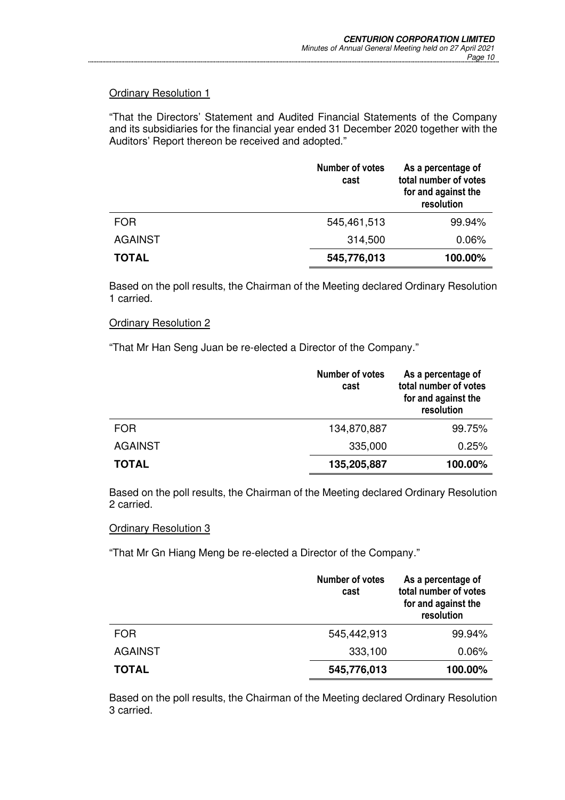"That the Directors' Statement and Audited Financial Statements of the Company and its subsidiaries for the financial year ended 31 December 2020 together with the Auditors' Report thereon be received and adopted."

|                | <b>Number of votes</b><br>cast | As a percentage of<br>total number of votes<br>for and against the<br>resolution |
|----------------|--------------------------------|----------------------------------------------------------------------------------|
| <b>FOR</b>     | 545,461,513                    | 99.94%                                                                           |
| <b>AGAINST</b> | 314,500                        | 0.06%                                                                            |
| <b>TOTAL</b>   | 545,776,013                    | 100.00%                                                                          |

Based on the poll results, the Chairman of the Meeting declared Ordinary Resolution 1 carried.

#### Ordinary Resolution 2

"That Mr Han Seng Juan be re-elected a Director of the Company."

|                | <b>Number of votes</b><br>cast | As a percentage of<br>total number of votes<br>for and against the<br>resolution |
|----------------|--------------------------------|----------------------------------------------------------------------------------|
| <b>FOR</b>     | 134,870,887                    | 99.75%                                                                           |
| <b>AGAINST</b> | 335,000                        | 0.25%                                                                            |
| <b>TOTAL</b>   | 135,205,887                    | 100.00%                                                                          |

Based on the poll results, the Chairman of the Meeting declared Ordinary Resolution 2 carried.

### Ordinary Resolution 3

"That Mr Gn Hiang Meng be re-elected a Director of the Company."

|                | <b>Number of votes</b><br>cast | As a percentage of<br>total number of votes<br>for and against the<br>resolution |
|----------------|--------------------------------|----------------------------------------------------------------------------------|
| <b>FOR</b>     | 545,442,913                    | 99.94%                                                                           |
| <b>AGAINST</b> | 333,100                        | 0.06%                                                                            |
| <b>TOTAL</b>   | 545,776,013                    | 100.00%                                                                          |

Based on the poll results, the Chairman of the Meeting declared Ordinary Resolution 3 carried.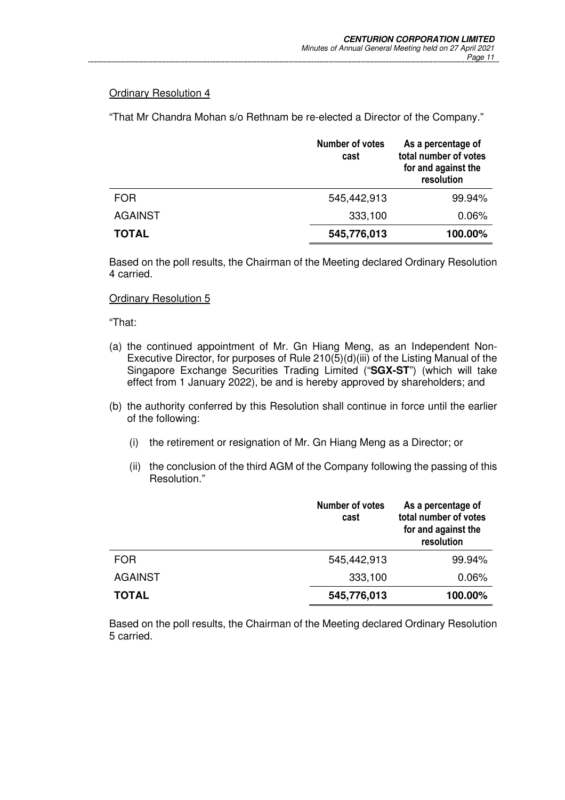"That Mr Chandra Mohan s/o Rethnam be re-elected a Director of the Company."

|                | <b>Number of votes</b><br>cast | As a percentage of<br>total number of votes<br>for and against the<br>resolution |
|----------------|--------------------------------|----------------------------------------------------------------------------------|
| <b>FOR</b>     | 545,442,913                    | 99.94%                                                                           |
| <b>AGAINST</b> | 333,100                        | 0.06%                                                                            |
| <b>TOTAL</b>   | 545,776,013                    | 100.00%                                                                          |

Based on the poll results, the Chairman of the Meeting declared Ordinary Resolution 4 carried.

#### Ordinary Resolution 5

"That:

- (a) the continued appointment of Mr. Gn Hiang Meng, as an Independent Non-Executive Director, for purposes of Rule 210(5)(d)(iii) of the Listing Manual of the Singapore Exchange Securities Trading Limited ("**SGX-ST**") (which will take effect from 1 January 2022), be and is hereby approved by shareholders; and
- (b) the authority conferred by this Resolution shall continue in force until the earlier of the following:
	- (i) the retirement or resignation of Mr. Gn Hiang Meng as a Director; or
	- (ii) the conclusion of the third AGM of the Company following the passing of this Resolution."

|                | <b>Number of votes</b><br>cast | As a percentage of<br>total number of votes<br>for and against the<br>resolution |
|----------------|--------------------------------|----------------------------------------------------------------------------------|
| <b>FOR</b>     | 545,442,913                    | 99.94%                                                                           |
| <b>AGAINST</b> | 333,100                        | 0.06%                                                                            |
| <b>TOTAL</b>   | 545,776,013                    | 100.00%                                                                          |

Based on the poll results, the Chairman of the Meeting declared Ordinary Resolution 5 carried.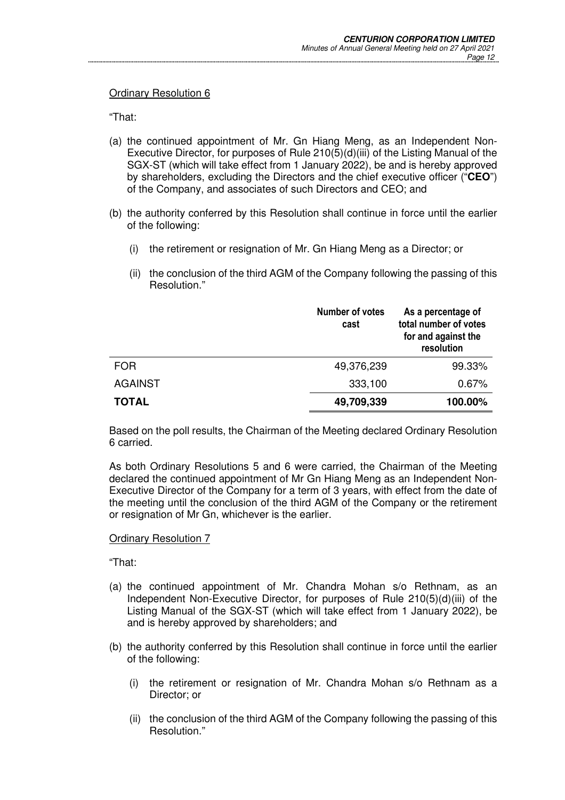"That:

- (a) the continued appointment of Mr. Gn Hiang Meng, as an Independent Non-Executive Director, for purposes of Rule 210(5)(d)(iii) of the Listing Manual of the SGX-ST (which will take effect from 1 January 2022), be and is hereby approved by shareholders, excluding the Directors and the chief executive officer ("**CEO**") of the Company, and associates of such Directors and CEO; and
- (b) the authority conferred by this Resolution shall continue in force until the earlier of the following:
	- (i) the retirement or resignation of Mr. Gn Hiang Meng as a Director; or
	- (ii) the conclusion of the third AGM of the Company following the passing of this Resolution."

|                | <b>Number of votes</b><br>cast | As a percentage of<br>total number of votes<br>for and against the<br>resolution |
|----------------|--------------------------------|----------------------------------------------------------------------------------|
| <b>FOR</b>     | 49,376,239                     | 99.33%                                                                           |
| <b>AGAINST</b> | 333,100                        | 0.67%                                                                            |
| <b>TOTAL</b>   | 49,709,339                     | 100.00%                                                                          |

Based on the poll results, the Chairman of the Meeting declared Ordinary Resolution 6 carried.

As both Ordinary Resolutions 5 and 6 were carried, the Chairman of the Meeting declared the continued appointment of Mr Gn Hiang Meng as an Independent Non-Executive Director of the Company for a term of 3 years, with effect from the date of the meeting until the conclusion of the third AGM of the Company or the retirement or resignation of Mr Gn, whichever is the earlier.

Ordinary Resolution 7

"That:

- (a) the continued appointment of Mr. Chandra Mohan s/o Rethnam, as an Independent Non-Executive Director, for purposes of Rule 210(5)(d)(iii) of the Listing Manual of the SGX-ST (which will take effect from 1 January 2022), be and is hereby approved by shareholders; and
- (b) the authority conferred by this Resolution shall continue in force until the earlier of the following:
	- (i) the retirement or resignation of Mr. Chandra Mohan s/o Rethnam as a Director; or
	- (ii) the conclusion of the third AGM of the Company following the passing of this Resolution."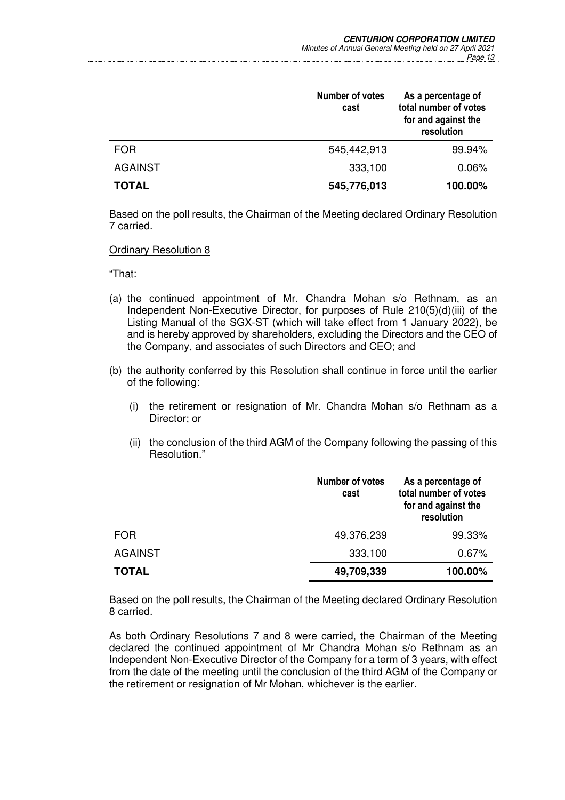|                | <b>Number of votes</b><br>cast | As a percentage of<br>total number of votes<br>for and against the<br>resolution |
|----------------|--------------------------------|----------------------------------------------------------------------------------|
| <b>FOR</b>     | 545,442,913                    | 99.94%                                                                           |
| <b>AGAINST</b> | 333,100                        | 0.06%                                                                            |
| <b>TOTAL</b>   | 545,776,013                    | 100.00%                                                                          |

Based on the poll results, the Chairman of the Meeting declared Ordinary Resolution 7 carried.

Ordinary Resolution 8

"That:

- (a) the continued appointment of Mr. Chandra Mohan s/o Rethnam, as an Independent Non-Executive Director, for purposes of Rule 210(5)(d)(iii) of the Listing Manual of the SGX-ST (which will take effect from 1 January 2022), be and is hereby approved by shareholders, excluding the Directors and the CEO of the Company, and associates of such Directors and CEO; and
- (b) the authority conferred by this Resolution shall continue in force until the earlier of the following:
	- (i) the retirement or resignation of Mr. Chandra Mohan s/o Rethnam as a Director; or
	- (ii) the conclusion of the third AGM of the Company following the passing of this Resolution."

|                | Number of votes<br>cast | As a percentage of<br>total number of votes<br>for and against the<br>resolution |
|----------------|-------------------------|----------------------------------------------------------------------------------|
| <b>FOR</b>     | 49,376,239              | 99.33%                                                                           |
| <b>AGAINST</b> | 333,100                 | 0.67%                                                                            |
| <b>TOTAL</b>   | 49,709,339              | 100.00%                                                                          |

Based on the poll results, the Chairman of the Meeting declared Ordinary Resolution 8 carried.

As both Ordinary Resolutions 7 and 8 were carried, the Chairman of the Meeting declared the continued appointment of Mr Chandra Mohan s/o Rethnam as an Independent Non-Executive Director of the Company for a term of 3 years, with effect from the date of the meeting until the conclusion of the third AGM of the Company or the retirement or resignation of Mr Mohan, whichever is the earlier.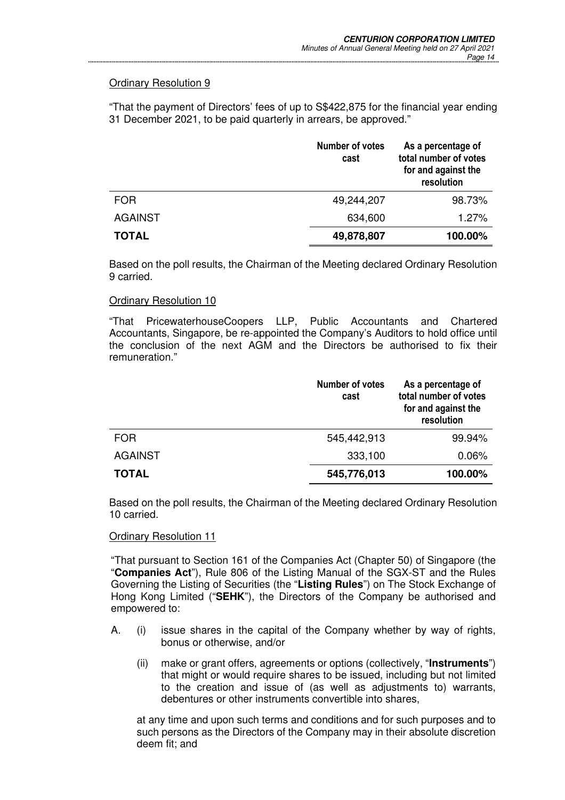"That the payment of Directors' fees of up to S\$422,875 for the financial year ending 31 December 2021, to be paid quarterly in arrears, be approved."

|                | <b>Number of votes</b><br>cast | As a percentage of<br>total number of votes<br>for and against the<br>resolution |
|----------------|--------------------------------|----------------------------------------------------------------------------------|
| <b>FOR</b>     | 49,244,207                     | 98.73%                                                                           |
| <b>AGAINST</b> | 634,600                        | 1.27%                                                                            |
| <b>TOTAL</b>   | 49,878,807                     | 100.00%                                                                          |

Based on the poll results, the Chairman of the Meeting declared Ordinary Resolution 9 carried.

#### Ordinary Resolution 10

"That PricewaterhouseCoopers LLP, Public Accountants and Chartered Accountants, Singapore, be re-appointed the Company's Auditors to hold office until the conclusion of the next AGM and the Directors be authorised to fix their remuneration."

|                | <b>Number of votes</b><br>cast | As a percentage of<br>total number of votes<br>for and against the<br>resolution |
|----------------|--------------------------------|----------------------------------------------------------------------------------|
| <b>FOR</b>     | 545,442,913                    | 99.94%                                                                           |
| <b>AGAINST</b> | 333,100                        | 0.06%                                                                            |
| <b>TOTAL</b>   | 545,776,013                    | 100.00%                                                                          |

Based on the poll results, the Chairman of the Meeting declared Ordinary Resolution 10 carried.

#### Ordinary Resolution 11

"That pursuant to Section 161 of the Companies Act (Chapter 50) of Singapore (the "**Companies Act**"), Rule 806 of the Listing Manual of the SGX-ST and the Rules Governing the Listing of Securities (the "**Listing Rules**") on The Stock Exchange of Hong Kong Limited ("**SEHK**"), the Directors of the Company be authorised and empowered to:

- A. (i) issue shares in the capital of the Company whether by way of rights, bonus or otherwise, and/or
	- (ii) make or grant offers, agreements or options (collectively, "**Instruments**") that might or would require shares to be issued, including but not limited to the creation and issue of (as well as adjustments to) warrants, debentures or other instruments convertible into shares,

 at any time and upon such terms and conditions and for such purposes and to such persons as the Directors of the Company may in their absolute discretion deem fit; and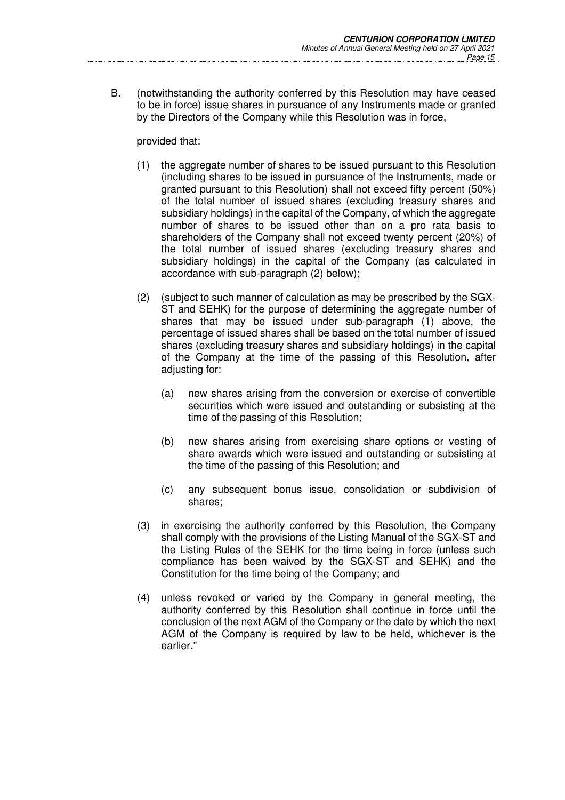B. (notwithstanding the authority conferred by this Resolution may have ceased to be in force) issue shares in pursuance of any Instruments made or granted by the Directors of the Company while this Resolution was in force,

provided that:

- (1) the aggregate number of shares to be issued pursuant to this Resolution (including shares to be issued in pursuance of the Instruments, made or granted pursuant to this Resolution) shall not exceed fifty percent (50%) of the total number of issued shares (excluding treasury shares and subsidiary holdings) in the capital of the Company, of which the aggregate number of shares to be issued other than on a pro rata basis to shareholders of the Company shall not exceed twenty percent (20%) of the total number of issued shares (excluding treasury shares and subsidiary holdings) in the capital of the Company (as calculated in accordance with sub-paragraph (2) below);
- (2) (subject to such manner of calculation as may be prescribed by the SGX-ST and SEHK) for the purpose of determining the aggregate number of shares that may be issued under sub-paragraph (1) above, the percentage of issued shares shall be based on the total number of issued shares (excluding treasury shares and subsidiary holdings) in the capital of the Company at the time of the passing of this Resolution, after adjusting for:
	- (a) new shares arising from the conversion or exercise of convertible securities which were issued and outstanding or subsisting at the time of the passing of this Resolution;
	- (b) new shares arising from exercising share options or vesting of share awards which were issued and outstanding or subsisting at the time of the passing of this Resolution; and
	- (c) any subsequent bonus issue, consolidation or subdivision of shares;
- (3) in exercising the authority conferred by this Resolution, the Company shall comply with the provisions of the Listing Manual of the SGX-ST and the Listing Rules of the SEHK for the time being in force (unless such compliance has been waived by the SGX-ST and SEHK) and the Constitution for the time being of the Company; and
- (4) unless revoked or varied by the Company in general meeting, the authority conferred by this Resolution shall continue in force until the conclusion of the next AGM of the Company or the date by which the next AGM of the Company is required by law to be held, whichever is the earlier."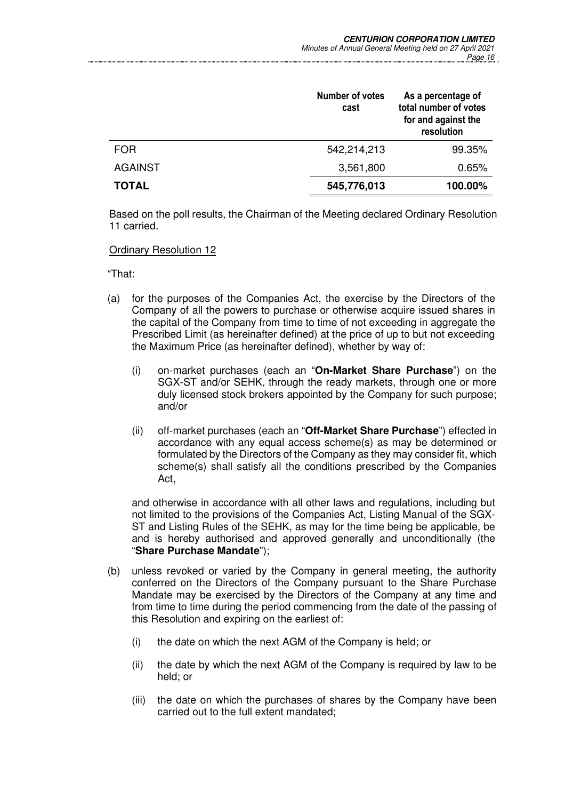|                | <b>Number of votes</b><br>cast | As a percentage of<br>total number of votes<br>for and against the<br>resolution |
|----------------|--------------------------------|----------------------------------------------------------------------------------|
| <b>FOR</b>     | 542,214,213                    | 99.35%                                                                           |
| <b>AGAINST</b> | 3,561,800                      | 0.65%                                                                            |
| <b>TOTAL</b>   | 545,776,013                    | 100.00%                                                                          |

Based on the poll results, the Chairman of the Meeting declared Ordinary Resolution 11 carried.

Ordinary Resolution 12

"That:

- (a) for the purposes of the Companies Act, the exercise by the Directors of the Company of all the powers to purchase or otherwise acquire issued shares in the capital of the Company from time to time of not exceeding in aggregate the Prescribed Limit (as hereinafter defined) at the price of up to but not exceeding the Maximum Price (as hereinafter defined), whether by way of:
	- (i) on-market purchases (each an "**On-Market Share Purchase**") on the SGX-ST and/or SEHK, through the ready markets, through one or more duly licensed stock brokers appointed by the Company for such purpose; and/or
	- (ii) off-market purchases (each an "**Off-Market Share Purchase**") effected in accordance with any equal access scheme(s) as may be determined or formulated by the Directors of the Company as they may consider fit, which scheme(s) shall satisfy all the conditions prescribed by the Companies Act,

 and otherwise in accordance with all other laws and regulations, including but not limited to the provisions of the Companies Act, Listing Manual of the SGX-ST and Listing Rules of the SEHK, as may for the time being be applicable, be and is hereby authorised and approved generally and unconditionally (the "**Share Purchase Mandate**");

- (b) unless revoked or varied by the Company in general meeting, the authority conferred on the Directors of the Company pursuant to the Share Purchase Mandate may be exercised by the Directors of the Company at any time and from time to time during the period commencing from the date of the passing of this Resolution and expiring on the earliest of:
	- (i) the date on which the next AGM of the Company is held; or
	- (ii) the date by which the next AGM of the Company is required by law to be held; or
	- (iii) the date on which the purchases of shares by the Company have been carried out to the full extent mandated;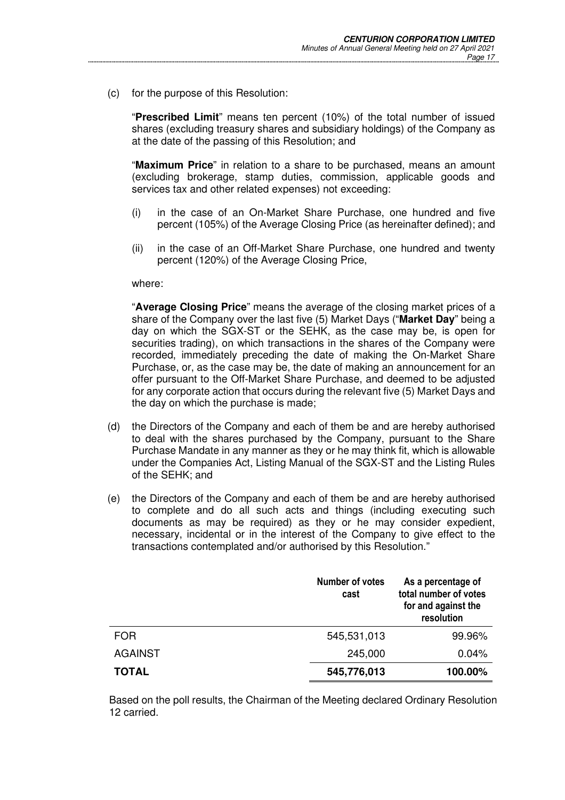(c) for the purpose of this Resolution:

 "**Prescribed Limit**" means ten percent (10%) of the total number of issued shares (excluding treasury shares and subsidiary holdings) of the Company as at the date of the passing of this Resolution; and

 "**Maximum Price**" in relation to a share to be purchased, means an amount (excluding brokerage, stamp duties, commission, applicable goods and services tax and other related expenses) not exceeding:

- (i) in the case of an On-Market Share Purchase, one hundred and five percent (105%) of the Average Closing Price (as hereinafter defined); and
- (ii) in the case of an Off-Market Share Purchase, one hundred and twenty percent (120%) of the Average Closing Price,

#### where:

 "**Average Closing Price**" means the average of the closing market prices of a share of the Company over the last five (5) Market Days ("**Market Day**" being a day on which the SGX-ST or the SEHK, as the case may be, is open for securities trading), on which transactions in the shares of the Company were recorded, immediately preceding the date of making the On-Market Share Purchase, or, as the case may be, the date of making an announcement for an offer pursuant to the Off-Market Share Purchase, and deemed to be adjusted for any corporate action that occurs during the relevant five (5) Market Days and the day on which the purchase is made;

- (d) the Directors of the Company and each of them be and are hereby authorised to deal with the shares purchased by the Company, pursuant to the Share Purchase Mandate in any manner as they or he may think fit, which is allowable under the Companies Act, Listing Manual of the SGX-ST and the Listing Rules of the SEHK; and
- (e) the Directors of the Company and each of them be and are hereby authorised to complete and do all such acts and things (including executing such documents as may be required) as they or he may consider expedient, necessary, incidental or in the interest of the Company to give effect to the transactions contemplated and/or authorised by this Resolution."

|                | <b>Number of votes</b><br>cast | As a percentage of<br>total number of votes<br>for and against the<br>resolution |
|----------------|--------------------------------|----------------------------------------------------------------------------------|
| <b>FOR</b>     | 545,531,013                    | 99.96%                                                                           |
| <b>AGAINST</b> | 245,000                        | 0.04%                                                                            |
| <b>TOTAL</b>   | 545,776,013                    | 100.00%                                                                          |

Based on the poll results, the Chairman of the Meeting declared Ordinary Resolution 12 carried.